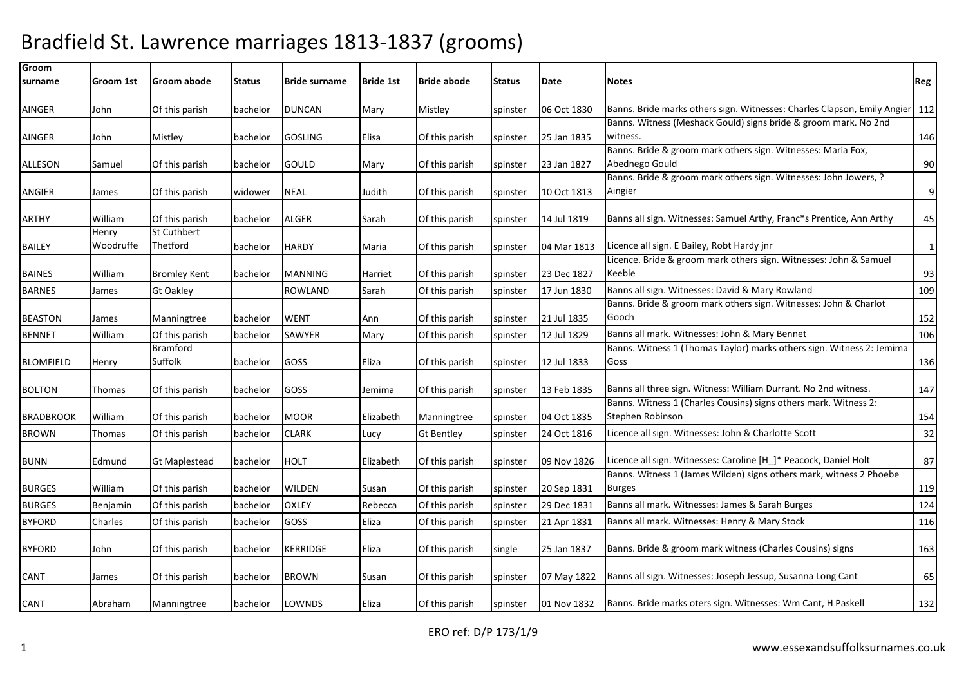| Groom<br>surname | Groom 1st | Groom abode                | <b>Status</b> | <b>Bride surname</b> | <b>Bride 1st</b> | <b>Bride abode</b> | <b>Status</b> | Date        | Notes                                                                         | Reg          |
|------------------|-----------|----------------------------|---------------|----------------------|------------------|--------------------|---------------|-------------|-------------------------------------------------------------------------------|--------------|
|                  |           |                            |               |                      |                  |                    |               |             |                                                                               |              |
| <b>AINGER</b>    | John      | Of this parish             | bachelor      | <b>DUNCAN</b>        | Mary             | Mistley            | spinster      | 06 Oct 1830 | Banns. Bride marks others sign. Witnesses: Charles Clapson, Emily Angier 112  |              |
|                  |           |                            |               |                      |                  |                    |               |             | Banns. Witness (Meshack Gould) signs bride & groom mark. No 2nd               |              |
| <b>AINGER</b>    | John      | Mistley                    | bachelor      | <b>GOSLING</b>       | Elisa            | Of this parish     | spinster      | 25 Jan 1835 | witness.                                                                      | 146          |
|                  |           |                            |               |                      |                  |                    |               |             | Banns. Bride & groom mark others sign. Witnesses: Maria Fox,                  |              |
| <b>ALLESON</b>   | Samuel    | Of this parish             | bachelor      | <b>GOULD</b>         | Mary             | Of this parish     | spinster      | 23 Jan 1827 | Abednego Gould                                                                | 90           |
| <b>ANGIER</b>    | James     | Of this parish             | widower       | <b>NEAL</b>          | Judith           | Of this parish     | spinster      | 10 Oct 1813 | Banns. Bride & groom mark others sign. Witnesses: John Jowers, ?<br>Aingier   | 9            |
|                  |           |                            |               |                      |                  |                    |               |             |                                                                               |              |
| <b>ARTHY</b>     | William   | Of this parish             | bachelor      | <b>ALGER</b>         | Sarah            | Of this parish     | spinster      | 14 Jul 1819 | Banns all sign. Witnesses: Samuel Arthy, Franc*s Prentice, Ann Arthy          | 45           |
|                  | Henry     | St Cuthbert                |               |                      |                  |                    |               |             |                                                                               |              |
| <b>BAILEY</b>    | Woodruffe | Thetford                   | bachelor      | <b>HARDY</b>         | Maria            | Of this parish     | spinster      | 04 Mar 1813 | Licence all sign. E Bailey, Robt Hardy jnr                                    | $\mathbf{1}$ |
|                  |           |                            |               |                      |                  |                    |               |             | Licence. Bride & groom mark others sign. Witnesses: John & Samuel             |              |
| <b>BAINES</b>    | William   | <b>Bromley Kent</b>        | bachelor      | <b>MANNING</b>       | Harriet          | Of this parish     | spinster      | 23 Dec 1827 | Keeble                                                                        | 93           |
| <b>BARNES</b>    | James     | <b>Gt Oakley</b>           |               | <b>ROWLAND</b>       | Sarah            | Of this parish     | spinster      | 17 Jun 1830 | Banns all sign. Witnesses: David & Mary Rowland                               | 109          |
|                  |           |                            |               |                      |                  |                    |               |             | Banns. Bride & groom mark others sign. Witnesses: John & Charlot              |              |
| <b>BEASTON</b>   | James     | Manningtree                | bachelor      | <b>WENT</b>          | Ann              | Of this parish     | spinster      | 21 Jul 1835 | Gooch                                                                         | 152          |
| <b>BENNET</b>    | William   | Of this parish             | bachelor      | SAWYER               | Mary             | Of this parish     | spinster      | 12 Jul 1829 | Banns all mark. Witnesses: John & Mary Bennet                                 | 106          |
| <b>BLOMFIELD</b> |           | <b>Bramford</b><br>Suffolk | bachelor      | GOSS                 | Eliza            | Of this parish     |               | 12 Jul 1833 | Banns. Witness 1 (Thomas Taylor) marks others sign. Witness 2: Jemima<br>Goss |              |
|                  | Henry     |                            |               |                      |                  |                    | spinster      |             |                                                                               | 136          |
| <b>BOLTON</b>    | Thomas    | Of this parish             | bachelor      | GOSS                 | Jemima           | Of this parish     | spinster      | 13 Feb 1835 | Banns all three sign. Witness: William Durrant. No 2nd witness.               | 147          |
|                  |           |                            |               |                      |                  |                    |               |             | Banns. Witness 1 (Charles Cousins) signs others mark. Witness 2:              |              |
| <b>BRADBROOK</b> | William   | Of this parish             | bachelor      | <b>MOOR</b>          | Elizabeth        | Manningtree        | spinster      | 04 Oct 1835 | Stephen Robinson                                                              | 154          |
| <b>BROWN</b>     | Thomas    | Of this parish             | bachelor      | <b>CLARK</b>         | Lucy             | <b>Gt Bentley</b>  | spinster      | 24 Oct 1816 | Licence all sign. Witnesses: John & Charlotte Scott                           | 32           |
| <b>BUNN</b>      | Edmund    |                            | bachelor      | <b>HOLT</b>          | Elizabeth        | Of this parish     | spinster      | 09 Nov 1826 | Licence all sign. Witnesses: Caroline [H_]* Peacock, Daniel Holt              | 87           |
|                  |           | <b>Gt Maplestead</b>       |               |                      |                  |                    |               |             | Banns. Witness 1 (James Wilden) signs others mark, witness 2 Phoebe           |              |
| <b>BURGES</b>    | William   | Of this parish             | bachelor      | <b>WILDEN</b>        | Susan            | Of this parish     | spinster      | 20 Sep 1831 | <b>Burges</b>                                                                 | 119          |
| <b>BURGES</b>    | Benjamin  | Of this parish             | bachelor      | <b>OXLEY</b>         | Rebecca          | Of this parish     | spinster      | 29 Dec 1831 | Banns all mark. Witnesses: James & Sarah Burges                               | 124          |
| <b>BYFORD</b>    | Charles   | Of this parish             | bachelor      | GOSS                 | Eliza            | Of this parish     | spinster      | 21 Apr 1831 | Banns all mark. Witnesses: Henry & Mary Stock                                 | 116          |
|                  |           |                            |               |                      |                  |                    |               |             |                                                                               |              |
| <b>BYFORD</b>    | John      | Of this parish             | bachelor      | <b>KERRIDGE</b>      | Eliza            | Of this parish     | single        | 25 Jan 1837 | Banns. Bride & groom mark witness (Charles Cousins) signs                     | 163          |
| CANT             | James     | Of this parish             | bachelor      | <b>BROWN</b>         | Susan            | Of this parish     | spinster      | 07 May 1822 | Banns all sign. Witnesses: Joseph Jessup, Susanna Long Cant                   | 65           |
|                  | Abraham   | Manningtree                | bachelor      | LOWNDS               |                  |                    |               | 01 Nov 1832 | Banns. Bride marks oters sign. Witnesses: Wm Cant, H Paskell                  | 132          |
| <b>CANT</b>      |           |                            |               |                      | Eliza            | Of this parish     | spinster      |             |                                                                               |              |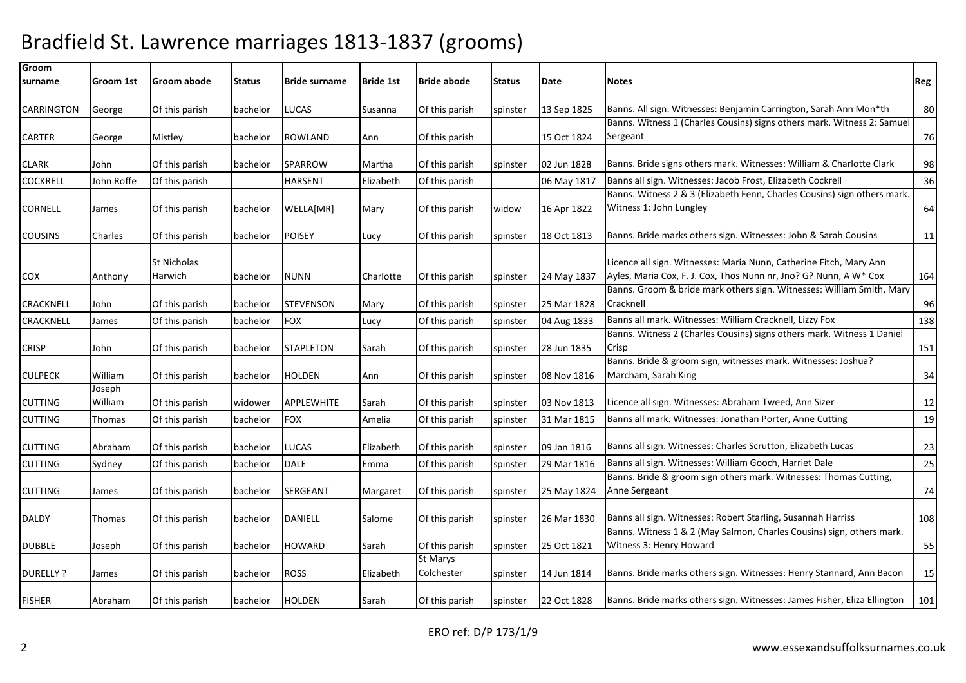| Groom            |            |                |          |                      |                  |                            |               |             |                                                                                                                                         |     |
|------------------|------------|----------------|----------|----------------------|------------------|----------------------------|---------------|-------------|-----------------------------------------------------------------------------------------------------------------------------------------|-----|
| surname          | Groom 1st  | Groom abode    | Status   | <b>Bride surname</b> | <b>Bride 1st</b> | <b>Bride abode</b>         | <b>Status</b> | Date        | Notes                                                                                                                                   | Reg |
|                  |            |                |          |                      |                  |                            |               |             |                                                                                                                                         |     |
| CARRINGTON       | George     | Of this parish | bachelor | LUCAS                | Susanna          | Of this parish             | spinster      | 13 Sep 1825 | Banns. All sign. Witnesses: Benjamin Carrington, Sarah Ann Mon*th                                                                       | 80  |
|                  |            |                |          |                      |                  |                            |               |             | Banns. Witness 1 (Charles Cousins) signs others mark. Witness 2: Samuel                                                                 |     |
| <b>CARTER</b>    | George     | Mistley        | bachelor | <b>ROWLAND</b>       | Ann              | Of this parish             |               | 15 Oct 1824 | Sergeant                                                                                                                                | 76  |
| <b>CLARK</b>     | John       | Of this parish | bachelor | <b>SPARROW</b>       | Martha           | Of this parish             | spinster      | 02 Jun 1828 | Banns. Bride signs others mark. Witnesses: William & Charlotte Clark                                                                    | 98  |
| <b>COCKRELL</b>  | John Roffe | Of this parish |          | <b>HARSENT</b>       | Elizabeth        | Of this parish             |               | 06 May 1817 | Banns all sign. Witnesses: Jacob Frost, Elizabeth Cockrell                                                                              | 36  |
|                  |            |                |          |                      |                  |                            |               |             | Banns. Witness 2 & 3 (Elizabeth Fenn, Charles Cousins) sign others mark.                                                                |     |
| <b>CORNELL</b>   | James      | Of this parish | bachelor | WELLA[MR]            | Mary             | Of this parish             | widow         | 16 Apr 1822 | Witness 1: John Lungley                                                                                                                 | 64  |
| <b>COUSINS</b>   | Charles    | Of this parish | bachelor | <b>POISEY</b>        | Lucy             | Of this parish             | spinster      | 18 Oct 1813 | Banns. Bride marks others sign. Witnesses: John & Sarah Cousins                                                                         | 11  |
|                  |            |                |          |                      |                  |                            |               |             |                                                                                                                                         |     |
|                  |            | St Nicholas    |          |                      |                  |                            |               |             | Licence all sign. Witnesses: Maria Nunn, Catherine Fitch, Mary Ann<br>Ayles, Maria Cox, F. J. Cox, Thos Nunn nr, Jno? G? Nunn, A W* Cox |     |
| <b>COX</b>       | Anthony    | Harwich        | bachelor | <b>NUNN</b>          | Charlotte        | Of this parish             | spinster      | 24 May 1837 | Banns. Groom & bride mark others sign. Witnesses: William Smith, Mary                                                                   | 164 |
| <b>CRACKNELL</b> | John       | Of this parish | bachelor | <b>STEVENSON</b>     | Mary             | Of this parish             | spinster      | 25 Mar 1828 | Cracknell                                                                                                                               | 96  |
| CRACKNELL        | James      | Of this parish | bachelor | <b>FOX</b>           | Lucy             | Of this parish             | spinster      | 04 Aug 1833 | Banns all mark. Witnesses: William Cracknell, Lizzy Fox                                                                                 | 138 |
|                  |            |                |          |                      |                  |                            |               |             | Banns. Witness 2 (Charles Cousins) signs others mark. Witness 1 Daniel                                                                  |     |
| <b>CRISP</b>     | John       | Of this parish | bachelor | <b>STAPLETON</b>     | Sarah            | Of this parish             | spinster      | 28 Jun 1835 | Crisp                                                                                                                                   | 151 |
|                  |            |                |          |                      |                  |                            |               |             | Banns. Bride & groom sign, witnesses mark. Witnesses: Joshua?                                                                           |     |
| <b>CULPECK</b>   | William    | Of this parish | bachelor | <b>HOLDEN</b>        | Ann              | Of this parish             | spinster      | 08 Nov 1816 | Marcham, Sarah King                                                                                                                     | 34  |
|                  | Joseph     |                |          |                      |                  |                            |               |             |                                                                                                                                         |     |
| <b>CUTTING</b>   | William    | Of this parish | widower  | <b>APPLEWHITE</b>    | Sarah            | Of this parish             | spinster      | 03 Nov 1813 | Licence all sign. Witnesses: Abraham Tweed, Ann Sizer                                                                                   | 12  |
| <b>CUTTING</b>   | Thomas     | Of this parish | bachelor | <b>FOX</b>           | Amelia           | Of this parish             | spinster      | 31 Mar 1815 | Banns all mark. Witnesses: Jonathan Porter, Anne Cutting                                                                                | 19  |
| <b>CUTTING</b>   | Abraham    | Of this parish | bachelor | LUCAS                | Elizabeth        | Of this parish             | spinster      | 09 Jan 1816 | Banns all sign. Witnesses: Charles Scrutton, Elizabeth Lucas                                                                            | 23  |
| <b>CUTTING</b>   | Sydney     | Of this parish | bachelor | <b>DALE</b>          | Emma             | Of this parish             | spinster      | 29 Mar 1816 | Banns all sign. Witnesses: William Gooch, Harriet Dale                                                                                  | 25  |
|                  |            |                |          |                      |                  |                            |               |             | Banns. Bride & groom sign others mark. Witnesses: Thomas Cutting,                                                                       |     |
| <b>CUTTING</b>   | James      | Of this parish | bachelor | <b>SERGEANT</b>      | Margaret         | Of this parish             | spinster      | 25 May 1824 | Anne Sergeant                                                                                                                           | 74  |
|                  |            |                |          |                      |                  |                            |               |             |                                                                                                                                         |     |
| <b>DALDY</b>     | Thomas     | Of this parish | bachelor | DANIELL              | Salome           | Of this parish             | spinster      | 26 Mar 1830 | Banns all sign. Witnesses: Robert Starling, Susannah Harriss                                                                            | 108 |
|                  |            |                |          |                      |                  |                            |               |             | Banns. Witness 1 & 2 (May Salmon, Charles Cousins) sign, others mark.                                                                   |     |
| <b>DUBBLE</b>    | Joseph     | Of this parish | bachelor | <b>HOWARD</b>        | Sarah            | Of this parish<br>St Marys | spinster      | 25 Oct 1821 | Witness 3: Henry Howard                                                                                                                 | 55  |
| <b>DURELLY ?</b> | James      | Of this parish | bachelor | <b>ROSS</b>          | Elizabeth        | Colchester                 | spinster      | 14 Jun 1814 | Banns. Bride marks others sign. Witnesses: Henry Stannard, Ann Bacon                                                                    | 15  |
|                  |            |                |          |                      |                  |                            |               |             | Banns. Bride marks others sign. Witnesses: James Fisher, Eliza Ellington                                                                |     |
| <b>FISHER</b>    | Abraham    | Of this parish | bachelor | <b>HOLDEN</b>        | Sarah            | Of this parish             | spinster      | 22 Oct 1828 |                                                                                                                                         | 101 |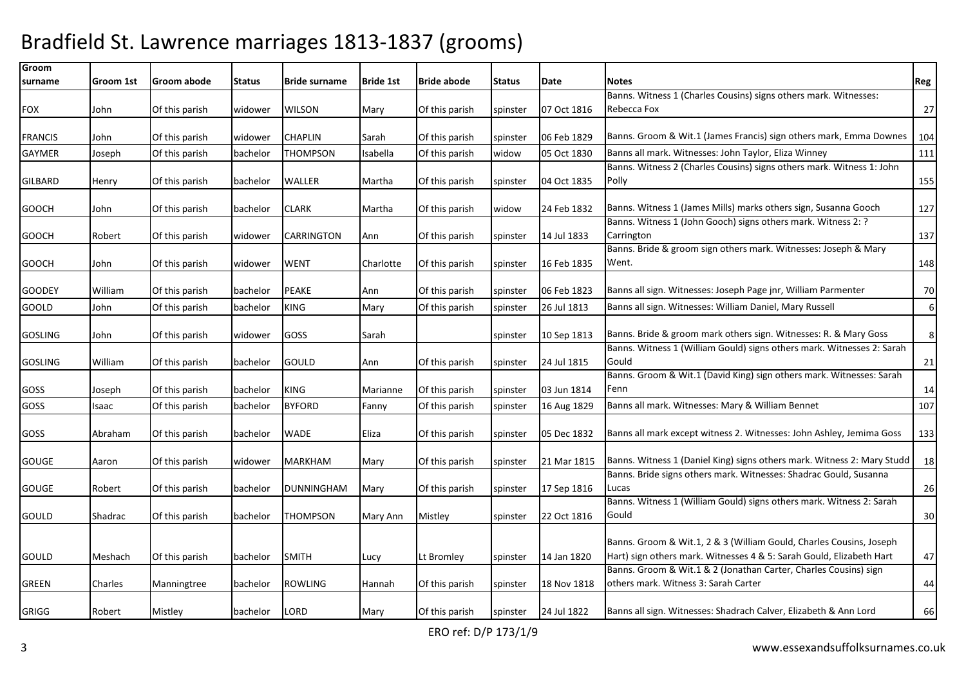| Groom<br>surname | Groom 1st | Groom abode    | <b>Status</b> | <b>Bride surname</b> | <b>Bride 1st</b> | <b>Bride abode</b> | <b>Status</b> | Date        | <b>Notes</b>                                                                                                                                | Reg |
|------------------|-----------|----------------|---------------|----------------------|------------------|--------------------|---------------|-------------|---------------------------------------------------------------------------------------------------------------------------------------------|-----|
|                  |           |                |               |                      |                  |                    |               |             | Banns. Witness 1 (Charles Cousins) signs others mark. Witnesses:                                                                            |     |
| <b>FOX</b>       | John      | Of this parish | widower       | <b>WILSON</b>        | Mary             | Of this parish     | spinster      | 07 Oct 1816 | Rebecca Fox                                                                                                                                 | 27  |
|                  |           |                |               |                      |                  |                    |               |             |                                                                                                                                             |     |
| <b>FRANCIS</b>   | John      | Of this parish | widower       | <b>CHAPLIN</b>       | Sarah            | Of this parish     | spinster      | 06 Feb 1829 | Banns. Groom & Wit.1 (James Francis) sign others mark, Emma Downes                                                                          | 104 |
| <b>GAYMER</b>    | Joseph    | Of this parish | bachelor      | THOMPSON             | Isabella         | Of this parish     | widow         | 05 Oct 1830 | Banns all mark. Witnesses: John Taylor, Eliza Winney                                                                                        | 111 |
|                  |           |                |               |                      |                  |                    |               |             | Banns. Witness 2 (Charles Cousins) signs others mark. Witness 1: John                                                                       |     |
| GILBARD          | Henry     | Of this parish | bachelor      | <b>WALLER</b>        | Martha           | Of this parish     | spinster      | 04 Oct 1835 | Polly                                                                                                                                       | 155 |
|                  |           |                |               |                      |                  |                    |               |             |                                                                                                                                             |     |
| <b>GOOCH</b>     | John      | Of this parish | bachelor      | <b>CLARK</b>         | Martha           | Of this parish     | widow         | 24 Feb 1832 | Banns. Witness 1 (James Mills) marks others sign, Susanna Gooch<br>Banns. Witness 1 (John Gooch) signs others mark. Witness 2: ?            | 127 |
| <b>GOOCH</b>     | Robert    | Of this parish | widower       | <b>CARRINGTON</b>    | Ann              | Of this parish     | spinster      | 14 Jul 1833 | Carrington                                                                                                                                  | 137 |
|                  |           |                |               |                      |                  |                    |               |             | Banns. Bride & groom sign others mark. Witnesses: Joseph & Mary                                                                             |     |
| <b>GOOCH</b>     | John      | Of this parish | widower       | <b>WENT</b>          | Charlotte        | Of this parish     | spinster      | 16 Feb 1835 | Went.                                                                                                                                       | 148 |
|                  |           |                |               |                      |                  |                    |               |             |                                                                                                                                             |     |
| <b>GOODEY</b>    | William   | Of this parish | bachelor      | <b>PEAKE</b>         | Ann              | Of this parish     | spinster      | 06 Feb 1823 | Banns all sign. Witnesses: Joseph Page jnr, William Parmenter                                                                               | 70  |
| GOOLD            | John      | Of this parish | bachelor      | <b>KING</b>          | Mary             | Of this parish     | spinster      | 26 Jul 1813 | Banns all sign. Witnesses: William Daniel, Mary Russell                                                                                     | 6   |
|                  |           |                |               |                      |                  |                    |               |             |                                                                                                                                             |     |
| <b>GOSLING</b>   | John      | Of this parish | widower       | <b>GOSS</b>          | Sarah            |                    | spinster      | 10 Sep 1813 | Banns. Bride & groom mark others sign. Witnesses: R. & Mary Goss                                                                            | 8   |
|                  |           |                |               |                      |                  |                    |               |             | Banns. Witness 1 (William Gould) signs others mark. Witnesses 2: Sarah                                                                      |     |
| <b>GOSLING</b>   | William   | Of this parish | bachelor      | <b>GOULD</b>         | Ann              | Of this parish     | spinster      | 24 Jul 1815 | Gould                                                                                                                                       | 21  |
| GOSS             | Joseph    | Of this parish | bachelor      | <b>KING</b>          | Marianne         | Of this parish     | spinster      | 03 Jun 1814 | Banns. Groom & Wit.1 (David King) sign others mark. Witnesses: Sarah<br>Fenn                                                                | 14  |
|                  |           |                |               |                      |                  |                    |               |             |                                                                                                                                             |     |
| GOSS             | Isaac     | Of this parish | bachelor      | <b>BYFORD</b>        | Fanny            | Of this parish     | spinster      | 16 Aug 1829 | Banns all mark. Witnesses: Mary & William Bennet                                                                                            | 107 |
| GOSS             | Abraham   | Of this parish | bachelor      | <b>WADE</b>          | Eliza            | Of this parish     | spinster      | 05 Dec 1832 | Banns all mark except witness 2. Witnesses: John Ashley, Jemima Goss                                                                        | 133 |
|                  |           |                |               |                      |                  |                    |               |             |                                                                                                                                             |     |
| GOUGE            | Aaron     | Of this parish | widower       | <b>MARKHAM</b>       | Mary             | Of this parish     | spinster      | 21 Mar 1815 | Banns. Witness 1 (Daniel King) signs others mark. Witness 2: Mary Studd                                                                     | 18  |
|                  |           |                |               |                      |                  |                    |               |             | Banns. Bride signs others mark. Witnesses: Shadrac Gould, Susanna                                                                           |     |
| <b>GOUGE</b>     | Robert    | Of this parish | bachelor      | <b>DUNNINGHAM</b>    | Mary             | Of this parish     | spinster      | 17 Sep 1816 | Lucas                                                                                                                                       | 26  |
|                  |           |                |               |                      |                  |                    |               |             | Banns. Witness 1 (William Gould) signs others mark. Witness 2: Sarah                                                                        |     |
| GOULD            | Shadrac   | Of this parish | bachelor      | <b>THOMPSON</b>      | Mary Ann         | Mistley            | spinster      | 22 Oct 1816 | Gould                                                                                                                                       | 30  |
|                  |           |                |               |                      |                  |                    |               |             |                                                                                                                                             |     |
|                  |           |                |               |                      |                  |                    |               |             | Banns. Groom & Wit.1, 2 & 3 (William Gould, Charles Cousins, Joseph<br>Hart) sign others mark. Witnesses 4 & 5: Sarah Gould, Elizabeth Hart | 47  |
| GOULD            | Meshach   | Of this parish | bachelor      | <b>SMITH</b>         | Lucy             | Lt Bromley         | spinster      | 14 Jan 1820 | Banns. Groom & Wit.1 & 2 (Jonathan Carter, Charles Cousins) sign                                                                            |     |
| GREEN            | Charles   | Manningtree    | bachelor      | <b>ROWLING</b>       | Hannah           | Of this parish     | spinster      | 18 Nov 1818 | others mark. Witness 3: Sarah Carter                                                                                                        | 44  |
|                  |           |                |               |                      |                  |                    |               |             |                                                                                                                                             |     |
| GRIGG            | Robert    | Mistley        | bachelor      | <b>LORD</b>          | Mary             | Of this parish     | spinster      | 24 Jul 1822 | Banns all sign. Witnesses: Shadrach Calver, Elizabeth & Ann Lord                                                                            | 66  |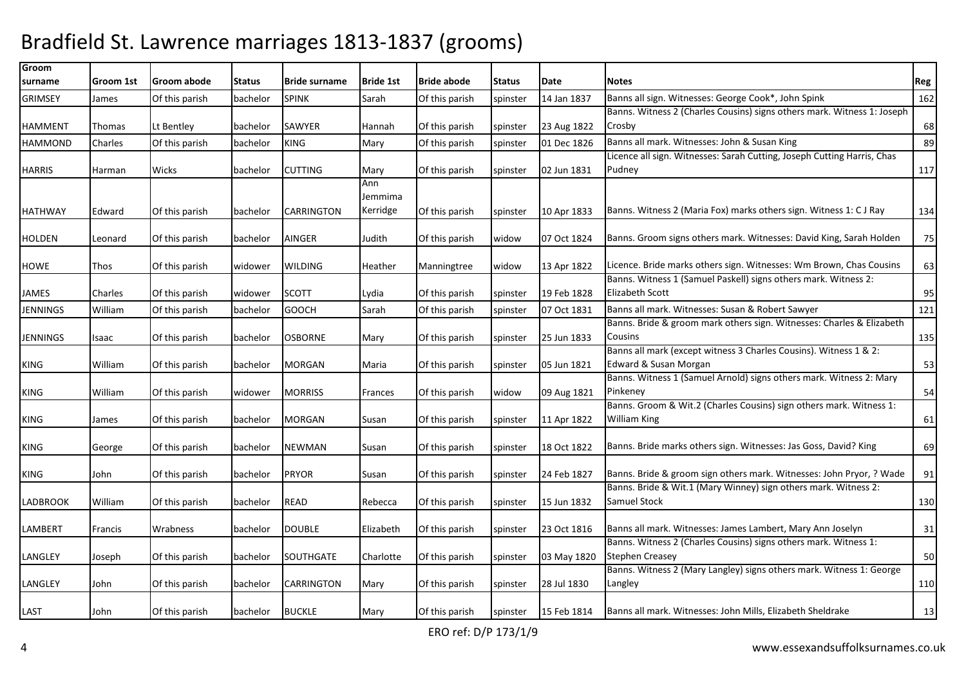| Groom           |           |                |               |                      |                  |                    |               |             |                                                                         |     |
|-----------------|-----------|----------------|---------------|----------------------|------------------|--------------------|---------------|-------------|-------------------------------------------------------------------------|-----|
| surname         | Groom 1st | Groom abode    | <b>Status</b> | <b>Bride surname</b> | <b>Bride 1st</b> | <b>Bride abode</b> | <b>Status</b> | Date        | <b>Notes</b>                                                            | Reg |
| <b>GRIMSEY</b>  | James     | Of this parish | bachelor      | <b>SPINK</b>         | Sarah            | Of this parish     | spinster      | 14 Jan 1837 | Banns all sign. Witnesses: George Cook*, John Spink                     | 162 |
|                 |           |                |               |                      |                  |                    |               |             | Banns. Witness 2 (Charles Cousins) signs others mark. Witness 1: Joseph |     |
| <b>HAMMENT</b>  | Thomas    | Lt Bentley     | bachelor      | SAWYER               | Hannah           | Of this parish     | spinster      | 23 Aug 1822 | Crosby                                                                  | 68  |
| <b>HAMMOND</b>  | Charles   | Of this parish | bachelor      | <b>KING</b>          | Mary             | Of this parish     | spinster      | 01 Dec 1826 | Banns all mark. Witnesses: John & Susan King                            | 89  |
|                 |           |                |               |                      |                  |                    |               |             | Licence all sign. Witnesses: Sarah Cutting, Joseph Cutting Harris, Chas |     |
| <b>HARRIS</b>   | Harman    | Wicks          | bachelor      | <b>CUTTING</b>       | Mary             | Of this parish     | spinster      | 02 Jun 1831 | Pudney                                                                  | 117 |
|                 |           |                |               |                      | Ann              |                    |               |             |                                                                         |     |
|                 |           |                |               |                      | Jemmima          |                    |               |             |                                                                         |     |
| <b>HATHWAY</b>  | Edward    | Of this parish | bachelor      | CARRINGTON           | Kerridge         | Of this parish     | spinster      | 10 Apr 1833 | Banns. Witness 2 (Maria Fox) marks others sign. Witness 1: C J Ray      | 134 |
|                 |           |                |               |                      |                  |                    |               |             | Banns. Groom signs others mark. Witnesses: David King, Sarah Holden     |     |
| <b>HOLDEN</b>   | Leonard   | Of this parish | bachelor      | <b>AINGER</b>        | Judith           | Of this parish     | widow         | 07 Oct 1824 |                                                                         | 75  |
| HOWE            | Thos      | Of this parish | widower       | <b>WILDING</b>       | Heather          | Manningtree        | widow         | 13 Apr 1822 | Licence. Bride marks others sign. Witnesses: Wm Brown, Chas Cousins     | 63  |
|                 |           |                |               |                      |                  |                    |               |             | Banns. Witness 1 (Samuel Paskell) signs others mark. Witness 2:         |     |
| JAMES           | Charles   | Of this parish | widower       | <b>SCOTT</b>         | Lydia            | Of this parish     | spinster      | 19 Feb 1828 | <b>Elizabeth Scott</b>                                                  | 95  |
| JENNINGS        | William   | Of this parish | bachelor      | <b>GOOCH</b>         | Sarah            | Of this parish     | spinster      | 07 Oct 1831 | Banns all mark. Witnesses: Susan & Robert Sawyer                        | 121 |
|                 |           |                |               |                      |                  |                    |               |             | Banns. Bride & groom mark others sign. Witnesses: Charles & Elizabeth   |     |
| <b>JENNINGS</b> | Isaac     | Of this parish | bachelor      | <b>OSBORNE</b>       | Mary             | Of this parish     | spinster      | 25 Jun 1833 | Cousins                                                                 | 135 |
|                 |           |                |               |                      |                  |                    |               |             | Banns all mark (except witness 3 Charles Cousins). Witness 1 & 2:       |     |
| KING            | William   | Of this parish | bachelor      | <b>MORGAN</b>        | Maria            | Of this parish     | spinster      | 05 Jun 1821 | Edward & Susan Morgan                                                   | 53  |
|                 |           |                |               |                      |                  |                    |               |             | Banns. Witness 1 (Samuel Arnold) signs others mark. Witness 2: Mary     |     |
| KING            | William   | Of this parish | widower       | <b>MORRISS</b>       | <b>Frances</b>   | Of this parish     | widow         | 09 Aug 1821 | Pinkeney                                                                | 54  |
|                 |           |                |               |                      |                  |                    |               |             | Banns. Groom & Wit.2 (Charles Cousins) sign others mark. Witness 1:     |     |
| KING            | James     | Of this parish | bachelor      | <b>MORGAN</b>        | Susan            | Of this parish     | spinster      | 11 Apr 1822 | William King                                                            | 61  |
|                 |           |                |               |                      |                  |                    |               |             |                                                                         |     |
| KING            | George    | Of this parish | bachelor      | <b>NEWMAN</b>        | Susan            | Of this parish     | spinster      | 18 Oct 1822 | Banns. Bride marks others sign. Witnesses: Jas Goss, David? King        | 69  |
|                 |           |                |               |                      |                  |                    |               |             | Banns. Bride & groom sign others mark. Witnesses: John Pryor, ? Wade    |     |
| KING            | John      | Of this parish | bachelor      | <b>PRYOR</b>         | Susan            | Of this parish     | spinster      | 24 Feb 1827 | Banns. Bride & Wit.1 (Mary Winney) sign others mark. Witness 2:         | 91  |
| <b>LADBROOK</b> | William   | Of this parish | bachelor      | <b>READ</b>          | Rebecca          | Of this parish     | spinster      | 15 Jun 1832 | <b>Samuel Stock</b>                                                     | 130 |
|                 |           |                |               |                      |                  |                    |               |             |                                                                         |     |
| LAMBERT         | Francis   | Wrabness       | bachelor      | <b>DOUBLE</b>        | Elizabeth        | Of this parish     | spinster      | 23 Oct 1816 | Banns all mark. Witnesses: James Lambert, Mary Ann Joselyn              | 31  |
|                 |           |                |               |                      |                  |                    |               |             | Banns. Witness 2 (Charles Cousins) signs others mark. Witness 1:        |     |
| LANGLEY         | Joseph    | Of this parish | bachelor      | <b>SOUTHGATE</b>     | Charlotte        | Of this parish     | spinster      | 03 May 1820 | <b>Stephen Creasey</b>                                                  | 50  |
|                 |           |                |               |                      |                  |                    |               |             | Banns. Witness 2 (Mary Langley) signs others mark. Witness 1: George    |     |
| LANGLEY         | John      | Of this parish | bachelor      | CARRINGTON           | Mary             | Of this parish     | spinster      | 28 Jul 1830 | Langley                                                                 | 110 |
|                 |           |                |               |                      |                  |                    |               |             |                                                                         |     |
| LAST            | John      | Of this parish | bachelor      | <b>BUCKLE</b>        | Mary             | Of this parish     | spinster      | 15 Feb 1814 | Banns all mark. Witnesses: John Mills, Elizabeth Sheldrake              | 13  |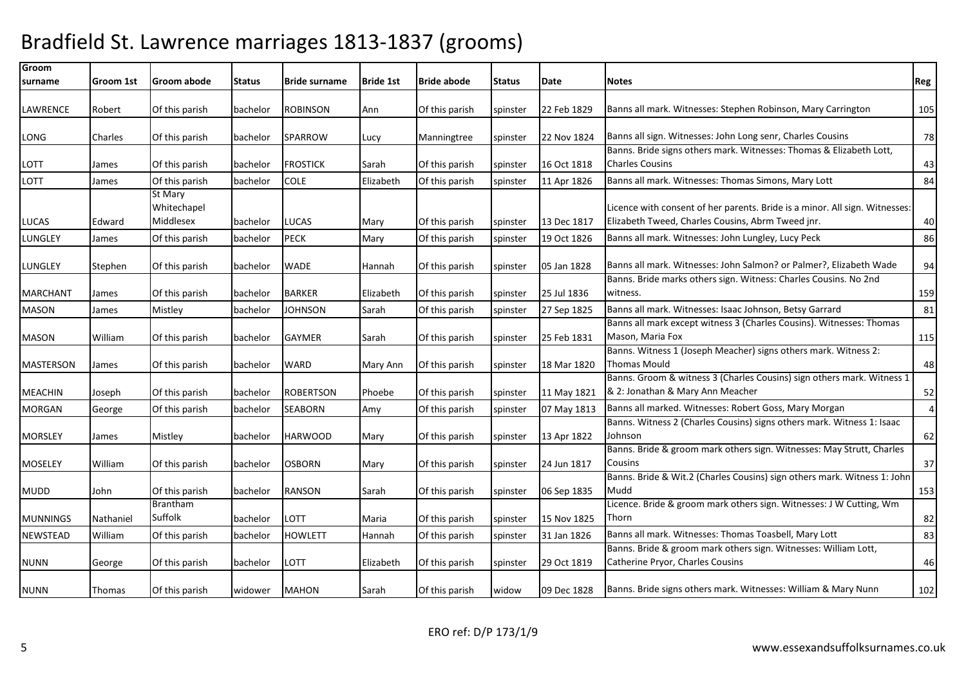| Groom<br>surname        | Groom 1st | Groom abode                         | <b>Status</b>        | <b>IBride surname</b> | <b>Bride 1st</b> | <b>Bride abode</b>               | <b>Status</b>        | Date        | <b>Notes</b>                                                                                                                     | Reg            |
|-------------------------|-----------|-------------------------------------|----------------------|-----------------------|------------------|----------------------------------|----------------------|-------------|----------------------------------------------------------------------------------------------------------------------------------|----------------|
|                         |           |                                     |                      |                       |                  |                                  |                      |             |                                                                                                                                  |                |
| <b>LAWRENCE</b>         | Robert    | Of this parish                      | bachelor             | <b>ROBINSON</b>       | Ann              | Of this parish                   | spinster             | 22 Feb 1829 | Banns all mark. Witnesses: Stephen Robinson, Mary Carrington                                                                     | 105            |
| LONG                    | Charles   | Of this parish                      | bachelor             | SPARROW               | Lucy             | Manningtree                      | spinster             | 22 Nov 1824 | Banns all sign. Witnesses: John Long senr, Charles Cousins                                                                       | 78             |
| LOTT                    | James     | Of this parish                      | bachelor             | <b>FROSTICK</b>       | Sarah            | Of this parish                   | spinster             | 16 Oct 1818 | Banns. Bride signs others mark. Witnesses: Thomas & Elizabeth Lott,<br><b>Charles Cousins</b>                                    | 43             |
| LOTT                    | James     | Of this parish                      | bachelor             | <b>COLE</b>           | Elizabeth        | Of this parish                   | spinster             | 11 Apr 1826 | Banns all mark. Witnesses: Thomas Simons, Mary Lott                                                                              | 84             |
|                         | Edward    | St Mary<br>Whitechapel<br>Middlesex |                      | <b>LUCAS</b>          |                  |                                  |                      | 13 Dec 1817 | Licence with consent of her parents. Bride is a minor. All sign. Witnesses:<br>Elizabeth Tweed, Charles Cousins, Abrm Tweed jnr. | 40             |
| LUCAS<br><b>LUNGLEY</b> | James     | Of this parish                      | bachelor<br>bachelor | <b>PECK</b>           | Mary<br>Mary     | Of this parish<br>Of this parish | spinster<br>spinster | 19 Oct 1826 | Banns all mark. Witnesses: John Lungley, Lucy Peck                                                                               | 86             |
| LUNGLEY                 | Stephen   | Of this parish                      | bachelor             | <b>WADE</b>           | Hannah           | Of this parish                   | spinster             | 05 Jan 1828 | Banns all mark. Witnesses: John Salmon? or Palmer?, Elizabeth Wade                                                               | 94             |
| <b>MARCHANT</b>         | James     | Of this parish                      | bachelor             | <b>BARKER</b>         | Elizabeth        | Of this parish                   | spinster             | 25 Jul 1836 | Banns. Bride marks others sign. Witness: Charles Cousins. No 2nd<br>witness.                                                     | 159            |
| <b>MASON</b>            | James     | Mistley                             | bachelor             | <b>JOHNSON</b>        | Sarah            | Of this parish                   | spinster             | 27 Sep 1825 | Banns all mark. Witnesses: Isaac Johnson, Betsy Garrard                                                                          | 81             |
| <b>MASON</b>            | William   | Of this parish                      | bachelor             | <b>GAYMER</b>         | Sarah            | Of this parish                   | spinster             | 25 Feb 1831 | Banns all mark except witness 3 (Charles Cousins). Witnesses: Thomas<br>Mason, Maria Fox                                         | 115            |
| <b>MASTERSON</b>        | James     | Of this parish                      | bachelor             | <b>WARD</b>           | Mary Ann         | Of this parish                   | spinster             | 18 Mar 1820 | Banns. Witness 1 (Joseph Meacher) signs others mark. Witness 2:<br><b>Thomas Mould</b>                                           | 48             |
| <b>MEACHIN</b>          | Joseph    | Of this parish                      | bachelor             | <b>ROBERTSON</b>      | Phoebe           | Of this parish                   | spinster             | 11 May 1821 | Banns. Groom & witness 3 (Charles Cousins) sign others mark. Witness 1<br>& 2: Jonathan & Mary Ann Meacher                       | 52             |
| <b>MORGAN</b>           | George    | Of this parish                      | bachelor             | SEABORN               | Amy              | Of this parish                   | spinster             | 07 May 1813 | Banns all marked. Witnesses: Robert Goss, Mary Morgan                                                                            | $\overline{4}$ |
| <b>MORSLEY</b>          | James     | Mistley                             | bachelor             | <b>HARWOOD</b>        | Mary             | Of this parish                   | spinster             | 13 Apr 1822 | Banns. Witness 2 (Charles Cousins) signs others mark. Witness 1: Isaac<br>Johnson                                                | 62             |
| <b>MOSELEY</b>          | William   | Of this parish                      | bachelor             | <b>OSBORN</b>         | Mary             | Of this parish                   | spinster             | 24 Jun 1817 | Banns. Bride & groom mark others sign. Witnesses: May Strutt, Charles<br>Cousins                                                 | 37             |
| <b>MUDD</b>             | John      | Of this parish                      | bachelor             | <b>RANSON</b>         | Sarah            | Of this parish                   | spinster             | 06 Sep 1835 | Banns. Bride & Wit.2 (Charles Cousins) sign others mark. Witness 1: John<br>Mudd                                                 | 153            |
| <b>MUNNINGS</b>         | Nathaniel | Brantham<br>Suffolk                 | bachelor             | LOTT                  | Maria            | Of this parish                   | spinster             | 15 Nov 1825 | Licence. Bride & groom mark others sign. Witnesses: J W Cutting, Wm<br>Thorn                                                     | 82             |
| <b>NEWSTEAD</b>         | William   | Of this parish                      | bachelor             | <b>HOWLETT</b>        | Hannah           | Of this parish                   | spinster             | 31 Jan 1826 | Banns all mark. Witnesses: Thomas Toasbell, Mary Lott                                                                            | 83             |
| <b>NUNN</b>             | George    | Of this parish                      | bachelor             | LOTT                  | Elizabeth        | Of this parish                   | spinster             | 29 Oct 1819 | Banns. Bride & groom mark others sign. Witnesses: William Lott,<br>Catherine Pryor, Charles Cousins                              | 46             |
| <b>NUNN</b>             | Thomas    | Of this parish                      | widower              | <b>MAHON</b>          | Sarah            | Of this parish                   | widow                | 09 Dec 1828 | Banns. Bride signs others mark. Witnesses: William & Mary Nunn                                                                   | 102            |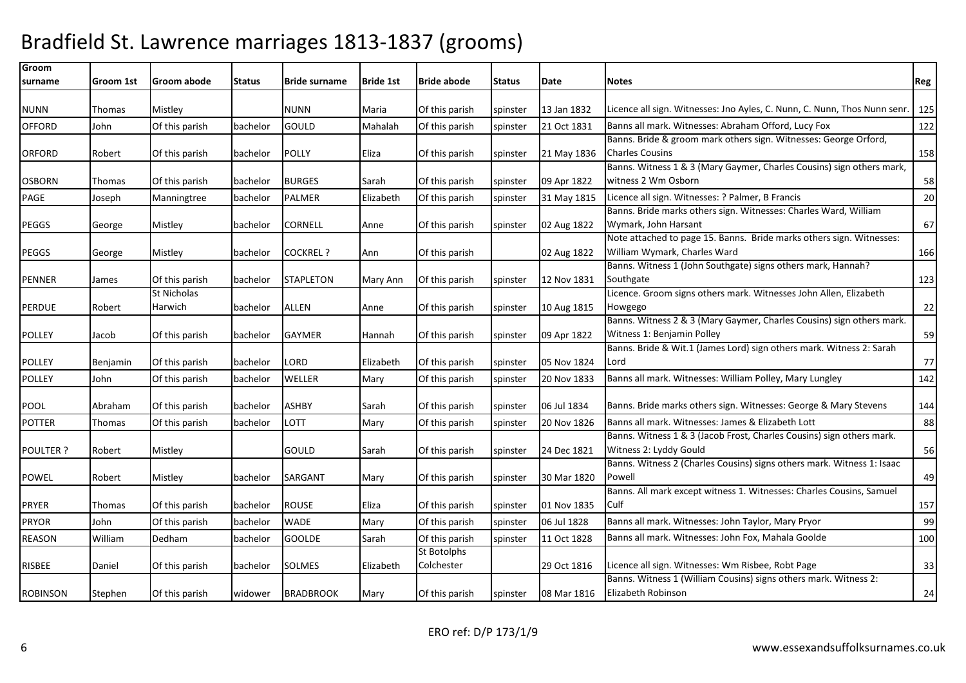| Groom            |           |                |               |                      |                  |                    |          |             |                                                                           |     |
|------------------|-----------|----------------|---------------|----------------------|------------------|--------------------|----------|-------------|---------------------------------------------------------------------------|-----|
| surname          | Groom 1st | Groom abode    | <b>Status</b> | <b>Bride surname</b> | <b>Bride 1st</b> | <b>Bride abode</b> | Status   | Date        | <b>Notes</b>                                                              | Reg |
| <b>NUNN</b>      | Thomas    | Mistley        |               | <b>NUNN</b>          | Maria            | Of this parish     | spinster | 13 Jan 1832 | Licence all sign. Witnesses: Jno Ayles, C. Nunn, C. Nunn, Thos Nunn senr. | 125 |
| <b>OFFORD</b>    | John      | Of this parish | bachelor      | GOULD                | Mahalah          | Of this parish     | spinster | 21 Oct 1831 | Banns all mark. Witnesses: Abraham Offord, Lucy Fox                       | 122 |
|                  |           |                |               |                      |                  |                    |          |             | Banns. Bride & groom mark others sign. Witnesses: George Orford,          |     |
| <b>ORFORD</b>    | Robert    | Of this parish | bachelor      | <b>POLLY</b>         | Eliza            | Of this parish     | spinster | 21 May 1836 | <b>Charles Cousins</b>                                                    | 158 |
|                  |           |                |               |                      |                  |                    |          |             | Banns. Witness 1 & 3 (Mary Gaymer, Charles Cousins) sign others mark,     |     |
| <b>OSBORN</b>    | Thomas    | Of this parish | bachelor      | <b>BURGES</b>        | Sarah            | Of this parish     | spinster | 09 Apr 1822 | witness 2 Wm Osborn                                                       | 58  |
| PAGE             | Joseph    | Manningtree    | bachelor      | <b>PALMER</b>        | Elizabeth        | Of this parish     | spinster | 31 May 1815 | Licence all sign. Witnesses: ? Palmer, B Francis                          | 20  |
|                  |           |                |               |                      |                  |                    |          |             | Banns. Bride marks others sign. Witnesses: Charles Ward, William          |     |
| <b>PEGGS</b>     | George    | Mistley        | bachelor      | <b>CORNELL</b>       | Anne             | Of this parish     | spinster | 02 Aug 1822 | Wymark, John Harsant                                                      | 67  |
|                  |           |                |               |                      |                  |                    |          |             | Note attached to page 15. Banns. Bride marks others sign. Witnesses:      |     |
| <b>PEGGS</b>     | George    | Mistley        | bachelor      | <b>COCKREL ?</b>     | Ann              | Of this parish     |          | 02 Aug 1822 | William Wymark, Charles Ward                                              | 166 |
|                  |           |                |               |                      |                  |                    |          |             | Banns. Witness 1 (John Southgate) signs others mark, Hannah?              |     |
| <b>PENNER</b>    | James     | Of this parish | bachelor      | <b>STAPLETON</b>     | Mary Ann         | Of this parish     | spinster | 12 Nov 1831 | Southgate                                                                 | 123 |
|                  |           | St Nicholas    |               |                      |                  |                    |          |             | Licence. Groom signs others mark. Witnesses John Allen, Elizabeth         |     |
| <b>PERDUE</b>    | Robert    | Harwich        | bachelor      | <b>ALLEN</b>         | Anne             | Of this parish     | spinster | 10 Aug 1815 | Howgego                                                                   | 22  |
|                  |           |                |               |                      |                  |                    |          |             | Banns. Witness 2 & 3 (Mary Gaymer, Charles Cousins) sign others mark.     |     |
| <b>POLLEY</b>    | Jacob     | Of this parish | bachelor      | <b>GAYMER</b>        | Hannah           | Of this parish     | spinster | 09 Apr 1822 | Witness 1: Benjamin Polley                                                | 59  |
|                  |           |                |               |                      |                  |                    |          |             | Banns. Bride & Wit.1 (James Lord) sign others mark. Witness 2: Sarah      |     |
| <b>POLLEY</b>    | Benjamin  | Of this parish | bachelor      | LORD                 | Elizabeth        | Of this parish     | spinster | 05 Nov 1824 | Lord                                                                      | 77  |
| <b>POLLEY</b>    | John      | Of this parish | bachelor      | WELLER               | Mary             | Of this parish     | spinster | 20 Nov 1833 | Banns all mark. Witnesses: William Polley, Mary Lungley                   | 142 |
| <b>POOL</b>      | Abraham   | Of this parish | bachelor      | <b>ASHBY</b>         | Sarah            | Of this parish     | spinster | 06 Jul 1834 | Banns. Bride marks others sign. Witnesses: George & Mary Stevens          | 144 |
| <b>POTTER</b>    | Thomas    | Of this parish | bachelor      | LOTT                 | Mary             | Of this parish     | spinster | 20 Nov 1826 | Banns all mark. Witnesses: James & Elizabeth Lott                         | 88  |
|                  |           |                |               |                      |                  |                    |          |             | Banns. Witness 1 & 3 (Jacob Frost, Charles Cousins) sign others mark.     |     |
| <b>POULTER ?</b> | Robert    | Mistley        |               | GOULD                | Sarah            | Of this parish     | spinster | 24 Dec 1821 | Witness 2: Lyddy Gould                                                    | 56  |
|                  |           |                |               |                      |                  |                    |          |             | Banns. Witness 2 (Charles Cousins) signs others mark. Witness 1: Isaac    |     |
| <b>POWEL</b>     | Robert    | Mistley        | bachelor      | SARGANT              | Mary             | Of this parish     | spinster | 30 Mar 1820 | Powell                                                                    | 49  |
|                  |           |                |               |                      |                  |                    |          |             | Banns. All mark except witness 1. Witnesses: Charles Cousins, Samuel      |     |
| PRYER            | Thomas    | Of this parish | bachelor      | <b>ROUSE</b>         | Eliza            | Of this parish     | spinster | 01 Nov 1835 | Culf                                                                      | 157 |
| <b>PRYOR</b>     | John      | Of this parish | bachelor      | <b>WADE</b>          | Mary             | Of this parish     | spinster | 06 Jul 1828 | Banns all mark. Witnesses: John Taylor, Mary Pryor                        | 99  |
| <b>REASON</b>    | William   | Dedham         | bachelor      | GOOLDE               | Sarah            | Of this parish     | spinster | 11 Oct 1828 | Banns all mark. Witnesses: John Fox, Mahala Goolde                        | 100 |
|                  |           |                |               |                      |                  | St Botolphs        |          |             |                                                                           |     |
| RISBEE           | Daniel    | Of this parish | bachelor      | <b>SOLMES</b>        | Elizabeth        | Colchester         |          | 29 Oct 1816 | Licence all sign. Witnesses: Wm Risbee, Robt Page                         | 33  |
|                  |           |                |               |                      |                  |                    |          |             | Banns. Witness 1 (William Cousins) signs others mark. Witness 2:          |     |
| <b>ROBINSON</b>  | Stephen   | Of this parish | widower       | <b>BRADBROOK</b>     | Mary             | Of this parish     | spinster | 08 Mar 1816 | Elizabeth Robinson                                                        | 24  |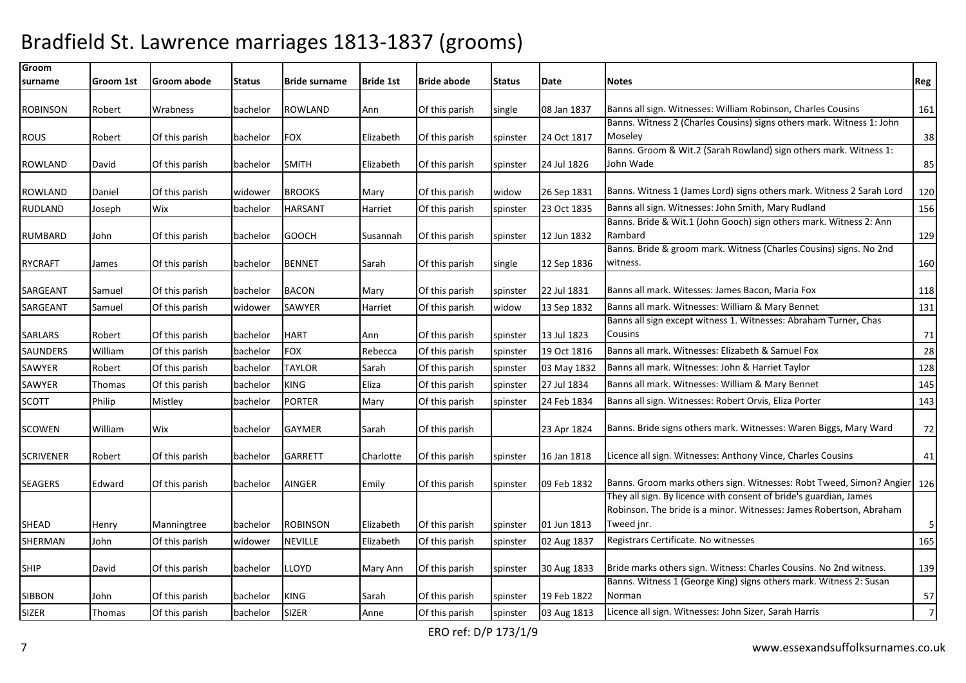| Groom            |           |                |          |                      |                  |                    |               |             |                                                                                                                                          |                |
|------------------|-----------|----------------|----------|----------------------|------------------|--------------------|---------------|-------------|------------------------------------------------------------------------------------------------------------------------------------------|----------------|
| surname          | Groom 1st | Groom abode    | Status   | <b>Bride surname</b> | <b>Bride 1st</b> | <b>Bride abode</b> | <b>Status</b> | Date        | <b>Notes</b>                                                                                                                             | Reg            |
| <b>ROBINSON</b>  | Robert    | Wrabness       | bachelor | <b>ROWLAND</b>       | Ann              | Of this parish     | single        | 08 Jan 1837 | Banns all sign. Witnesses: William Robinson, Charles Cousins                                                                             | 161            |
| <b>ROUS</b>      | Robert    | Of this parish | bachelor | <b>FOX</b>           | Elizabeth        | Of this parish     | spinster      | 24 Oct 1817 | Banns. Witness 2 (Charles Cousins) signs others mark. Witness 1: John<br>Moseley                                                         | 38             |
|                  |           |                |          |                      |                  |                    |               |             | Banns. Groom & Wit.2 (Sarah Rowland) sign others mark. Witness 1:                                                                        |                |
| <b>ROWLAND</b>   | David     | Of this parish | bachelor | <b>SMITH</b>         | Elizabeth        | Of this parish     | spinster      | 24 Jul 1826 | John Wade                                                                                                                                | 85             |
| <b>ROWLAND</b>   | Daniel    | Of this parish | widower  | <b>BROOKS</b>        | Mary             | Of this parish     | widow         | 26 Sep 1831 | Banns. Witness 1 (James Lord) signs others mark. Witness 2 Sarah Lord                                                                    | 120            |
| <b>RUDLAND</b>   | Joseph    | Wix            | bachelor | <b>HARSANT</b>       | Harriet          | Of this parish     | spinster      | 23 Oct 1835 | Banns all sign. Witnesses: John Smith, Mary Rudland                                                                                      | 156            |
|                  |           |                |          |                      |                  |                    |               |             | Banns. Bride & Wit.1 (John Gooch) sign others mark. Witness 2: Ann                                                                       |                |
| RUMBARD          | John      | Of this parish | bachelor | <b>GOOCH</b>         | Susannah         | Of this parish     | spinster      | 12 Jun 1832 | Rambard                                                                                                                                  | 129            |
|                  |           |                |          |                      |                  |                    |               |             | Banns. Bride & groom mark. Witness (Charles Cousins) signs. No 2nd                                                                       |                |
| <b>RYCRAFT</b>   | James     | Of this parish | bachelor | <b>BENNET</b>        | Sarah            | Of this parish     | single        | 12 Sep 1836 | witness.                                                                                                                                 | 160            |
| SARGEANT         | Samuel    | Of this parish | bachelor | <b>BACON</b>         | Mary             | Of this parish     | spinster      | 22 Jul 1831 | Banns all mark. Witesses: James Bacon, Maria Fox                                                                                         | 118            |
| SARGEANT         | Samuel    | Of this parish | widower  | SAWYER               | Harriet          | Of this parish     | widow         | 13 Sep 1832 | Banns all mark. Witnesses: William & Mary Bennet                                                                                         | 131            |
|                  |           |                |          |                      |                  |                    |               |             | Banns all sign except witness 1. Witnesses: Abraham Turner, Chas                                                                         |                |
| SARLARS          | Robert    | Of this parish | bachelor | <b>HART</b>          | Ann              | Of this parish     | spinster      | 13 Jul 1823 | Cousins                                                                                                                                  | 71             |
| SAUNDERS         | William   | Of this parish | bachelor | <b>FOX</b>           | Rebecca          | Of this parish     | spinster      | 19 Oct 1816 | Banns all mark. Witnesses: Elizabeth & Samuel Fox                                                                                        | 28             |
| SAWYER           | Robert    | Of this parish | bachelor | <b>TAYLOR</b>        | Sarah            | Of this parish     | spinster      | 03 May 1832 | Banns all mark. Witnesses: John & Harriet Taylor                                                                                         | 128            |
| SAWYER           | Thomas    | Of this parish | bachelor | <b>KING</b>          | Eliza            | Of this parish     | spinster      | 27 Jul 1834 | Banns all mark. Witnesses: William & Mary Bennet                                                                                         | 145            |
| <b>SCOTT</b>     | Philip    | Mistley        | bachelor | <b>PORTER</b>        | Mary             | Of this parish     | spinster      | 24 Feb 1834 | Banns all sign. Witnesses: Robert Orvis, Eliza Porter                                                                                    | 143            |
| SCOWEN           | William   | Wix            | bachelor | <b>GAYMER</b>        | Sarah            | Of this parish     |               | 23 Apr 1824 | Banns. Bride signs others mark. Witnesses: Waren Biggs, Mary Ward                                                                        | 72             |
| <b>SCRIVENER</b> | Robert    | Of this parish | bachelor | <b>GARRETT</b>       | Charlotte        | Of this parish     | spinster      | 16 Jan 1818 | Licence all sign. Witnesses: Anthony Vince, Charles Cousins                                                                              | 41             |
| <b>SEAGERS</b>   | Edward    | Of this parish | bachelor | <b>AINGER</b>        | Emily            | Of this parish     | spinster      | 09 Feb 1832 | Banns. Groom marks others sign. Witnesses: Robt Tweed, Simon? Angier 126                                                                 |                |
|                  |           |                |          |                      |                  |                    |               |             | They all sign. By licence with consent of bride's guardian, James<br>Robinson. The bride is a minor. Witnesses: James Robertson, Abraham |                |
| <b>SHEAD</b>     | Henry     | Manningtree    | bachelor | <b>ROBINSON</b>      | Elizabeth        | Of this parish     | spinster      | 01 Jun 1813 | Tweed jnr.                                                                                                                               | $\sqrt{5}$     |
| SHERMAN          | John      | Of this parish | widower  | NEVILLE              | Elizabeth        | Of this parish     | spinster      | 02 Aug 1837 | Registrars Certificate. No witnesses                                                                                                     | 165            |
| <b>SHIP</b>      | David     | Of this parish | bachelor | LLOYD                | Mary Ann         | Of this parish     | spinster      | 30 Aug 1833 | Bride marks others sign. Witness: Charles Cousins. No 2nd witness.                                                                       | 139            |
|                  |           |                |          |                      |                  |                    |               |             | Banns. Witness 1 (George King) signs others mark. Witness 2: Susan                                                                       |                |
| SIBBON           | John      | Of this parish | bachelor | KING                 | Sarah            | Of this parish     | spinster      | 19 Feb 1822 | Norman                                                                                                                                   | 57             |
| <b>SIZER</b>     | Thomas    | Of this parish | bachelor | <b>SIZER</b>         | Anne             | Of this parish     | spinster      | 03 Aug 1813 | Licence all sign. Witnesses: John Sizer, Sarah Harris                                                                                    | $\overline{7}$ |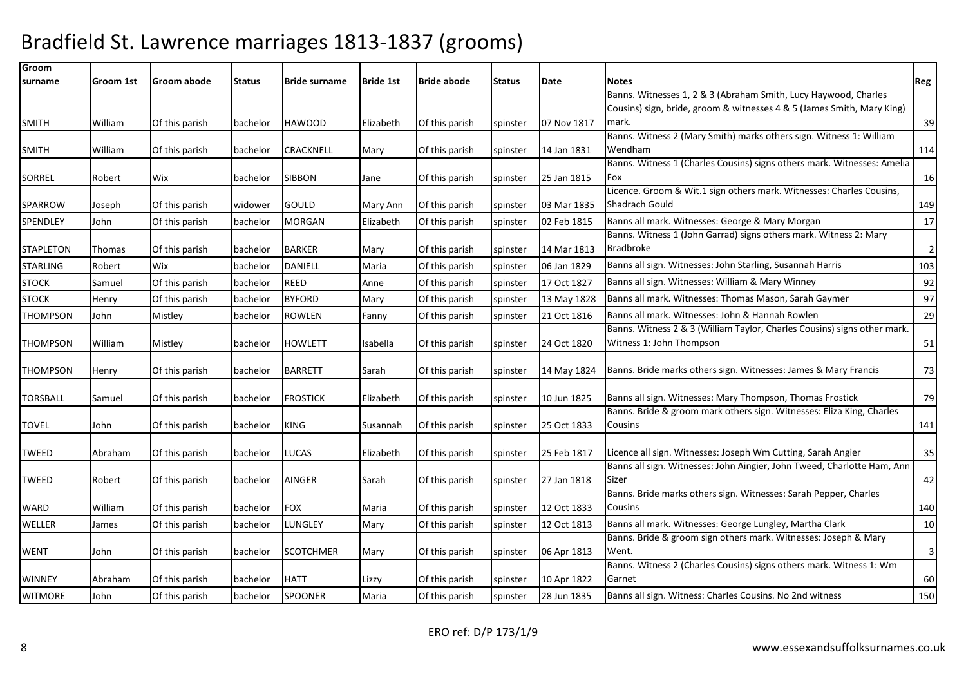| Groom            |           |                |          |                      |                  |                    |               |             |                                                                                                                      |                |
|------------------|-----------|----------------|----------|----------------------|------------------|--------------------|---------------|-------------|----------------------------------------------------------------------------------------------------------------------|----------------|
| surname          | Groom 1st | Groom abode    | Status   | <b>Bride surname</b> | <b>Bride 1st</b> | <b>Bride abode</b> | <b>Status</b> | Date        | <b>Notes</b>                                                                                                         | Reg            |
|                  |           |                |          |                      |                  |                    |               |             | Banns. Witnesses 1, 2 & 3 (Abraham Smith, Lucy Haywood, Charles                                                      |                |
|                  |           |                |          |                      |                  |                    |               |             | Cousins) sign, bride, groom & witnesses 4 & 5 (James Smith, Mary King)                                               |                |
| <b>SMITH</b>     | William   | Of this parish | bachelor | <b>HAWOOD</b>        | Elizabeth        | Of this parish     | spinster      | 07 Nov 1817 | mark.                                                                                                                | 39             |
|                  |           |                |          |                      |                  |                    |               |             | Banns. Witness 2 (Mary Smith) marks others sign. Witness 1: William                                                  |                |
| <b>SMITH</b>     | William   | Of this parish | bachelor | CRACKNELL            | Mary             | Of this parish     | spinster      | 14 Jan 1831 | Wendham                                                                                                              | 114            |
|                  |           |                |          |                      |                  |                    |               |             | Banns. Witness 1 (Charles Cousins) signs others mark. Witnesses: Amelia                                              |                |
| <b>SORREL</b>    | Robert    | Wix            | bachelor | <b>SIBBON</b>        | Jane             | Of this parish     | spinster      | 25 Jan 1815 | Fox<br>Licence. Groom & Wit.1 sign others mark. Witnesses: Charles Cousins,                                          | 16             |
| <b>SPARROW</b>   |           |                |          | GOULD                |                  | Of this parish     |               | 03 Mar 1835 | Shadrach Gould                                                                                                       | 149            |
|                  | Joseph    | Of this parish | widower  |                      | Mary Ann         |                    | spinster      |             |                                                                                                                      |                |
| SPENDLEY         | John      | Of this parish | bachelor | <b>MORGAN</b>        | Elizabeth        | Of this parish     | spinster      | 02 Feb 1815 | Banns all mark. Witnesses: George & Mary Morgan<br>Banns. Witness 1 (John Garrad) signs others mark. Witness 2: Mary | 17             |
| <b>STAPLETON</b> | Thomas    | Of this parish | bachelor | <b>BARKER</b>        | Mary             | Of this parish     |               | 14 Mar 1813 | Bradbroke                                                                                                            | $\overline{2}$ |
|                  |           |                |          |                      |                  |                    | spinster      |             |                                                                                                                      |                |
| <b>STARLING</b>  | Robert    | Wix            | bachelor | <b>DANIELL</b>       | Maria            | Of this parish     | spinster      | 06 Jan 1829 | Banns all sign. Witnesses: John Starling, Susannah Harris                                                            | 103            |
| <b>STOCK</b>     | Samuel    | Of this parish | bachelor | <b>REED</b>          | Anne             | Of this parish     | spinster      | 17 Oct 1827 | Banns all sign. Witnesses: William & Mary Winney                                                                     | 92             |
| <b>STOCK</b>     | Henry     | Of this parish | bachelor | <b>BYFORD</b>        | Mary             | Of this parish     | spinster      | 13 May 1828 | Banns all mark. Witnesses: Thomas Mason, Sarah Gaymer                                                                | 97             |
| <b>THOMPSON</b>  | John      | Mistley        | bachelor | <b>ROWLEN</b>        | Fanny            | Of this parish     | spinster      | 21 Oct 1816 | Banns all mark. Witnesses: John & Hannah Rowlen                                                                      | 29             |
|                  |           |                |          |                      |                  |                    |               |             | Banns. Witness 2 & 3 (William Taylor, Charles Cousins) signs other mark.                                             |                |
| <b>THOMPSON</b>  | William   | Mistley        | bachelor | <b>HOWLETT</b>       | Isabella         | Of this parish     | spinster      | 24 Oct 1820 | Witness 1: John Thompson                                                                                             | 51             |
|                  |           |                |          |                      |                  |                    |               |             |                                                                                                                      |                |
| <b>THOMPSON</b>  | Henry     | Of this parish | bachelor | <b>BARRETT</b>       | Sarah            | Of this parish     | spinster      | 14 May 1824 | Banns. Bride marks others sign. Witnesses: James & Mary Francis                                                      | 73             |
| <b>TORSBALL</b>  |           |                | bachelor | <b>FROSTICK</b>      | Elizabeth        |                    |               | 10 Jun 1825 | Banns all sign. Witnesses: Mary Thompson, Thomas Frostick                                                            | 79             |
|                  | Samuel    | Of this parish |          |                      |                  | Of this parish     | spinster      |             | Banns. Bride & groom mark others sign. Witnesses: Eliza King, Charles                                                |                |
| TOVEL            | John      | Of this parish | bachelor | KING                 | Susannah         | Of this parish     | spinster      | 25 Oct 1833 | Cousins                                                                                                              | 141            |
|                  |           |                |          |                      |                  |                    |               |             |                                                                                                                      |                |
| <b>TWEED</b>     | Abraham   | Of this parish | bachelor | LUCAS                | Elizabeth        | Of this parish     | spinster      | 25 Feb 1817 | Licence all sign. Witnesses: Joseph Wm Cutting, Sarah Angier                                                         | 35             |
|                  |           |                |          |                      |                  |                    |               |             | Banns all sign. Witnesses: John Aingier, John Tweed, Charlotte Ham, Ann                                              |                |
| <b>TWEED</b>     | Robert    | Of this parish | bachelor | <b>AINGER</b>        | Sarah            | Of this parish     | spinster      | 27 Jan 1818 | Sizer                                                                                                                | 42             |
|                  |           |                |          |                      |                  |                    |               |             | Banns. Bride marks others sign. Witnesses: Sarah Pepper, Charles                                                     |                |
| WARD             | William   | Of this parish | bachelor | <b>FOX</b>           | Maria            | Of this parish     | spinster      | 12 Oct 1833 | Cousins                                                                                                              | 140            |
| WELLER           | James     | Of this parish | bachelor | LUNGLEY              | Mary             | Of this parish     | spinster      | 12 Oct 1813 | Banns all mark. Witnesses: George Lungley, Martha Clark                                                              | 10             |
|                  |           |                |          |                      |                  |                    |               |             | Banns. Bride & groom sign others mark. Witnesses: Joseph & Mary                                                      |                |
| <b>WENT</b>      | John      | Of this parish | bachelor | <b>SCOTCHMER</b>     | Mary             | Of this parish     | spinster      | 06 Apr 1813 | Went.                                                                                                                | 3              |
|                  |           |                |          |                      |                  |                    |               |             | Banns. Witness 2 (Charles Cousins) signs others mark. Witness 1: Wm                                                  |                |
| <b>WINNEY</b>    | Abraham   | Of this parish | bachelor | <b>HATT</b>          | Lizzy            | Of this parish     | spinster      | 10 Apr 1822 | Garnet                                                                                                               | 60             |
| <b>WITMORE</b>   | John      | Of this parish | bachelor | <b>SPOONER</b>       | Maria            | Of this parish     | spinster      | 28 Jun 1835 | Banns all sign. Witness: Charles Cousins. No 2nd witness                                                             | 150            |